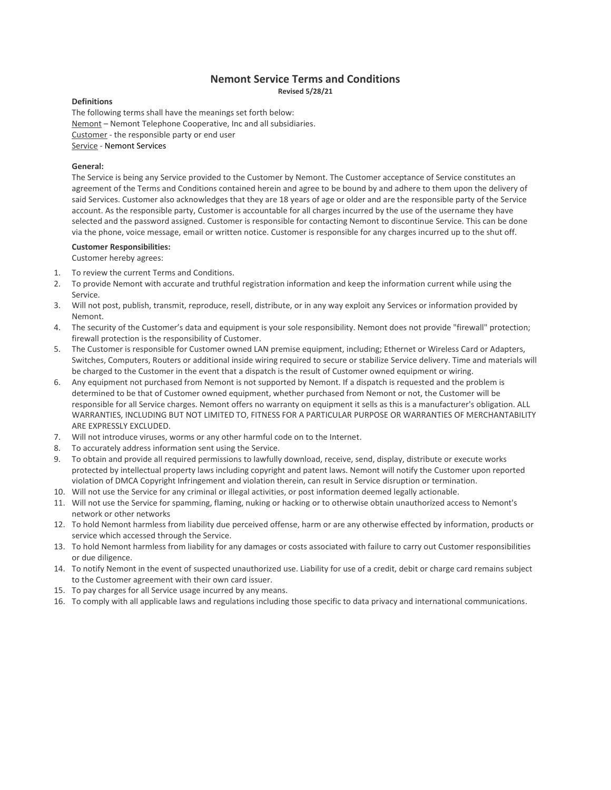# **Nemont Service Terms and Conditions**

**Revised 5/28/21**

#### **Definitions**

The following terms shall have the meanings set forth below: Nemont – Nemont Telephone Cooperative, Inc and all subsidiaries. Customer - the responsible party or end user Service - Nemont Services

### **General:**

The Service is being any Service provided to the Customer by Nemont. The Customer acceptance of Service constitutes an agreement of the Terms and Conditions contained herein and agree to be bound by and adhere to them upon the delivery of said Services. Customer also acknowledges that they are 18 years of age or older and are the responsible party of the Service account. As the responsible party, Customer is accountable for all charges incurred by the use of the username they have selected and the password assigned. Customer is responsible for contacting Nemont to discontinue Service. This can be done via the phone, voice message, email or written notice. Customer is responsible for any charges incurred up to the shut off.

# **Customer Responsibilities:**

Customer hereby agrees:

- 1. To review the current Terms and Conditions.
- 2. To provide Nemont with accurate and truthful registration information and keep the information current while using the Service.
- 3. Will not post, publish, transmit, reproduce, resell, distribute, or in any way exploit any Services or information provided by Nemont.
- 4. The security of the Customer's data and equipment is your sole responsibility. Nemont does not provide "firewall" protection; firewall protection is the responsibility of Customer.
- 5. The Customer is responsible for Customer owned LAN premise equipment, including; Ethernet or Wireless Card or Adapters, Switches, Computers, Routers or additional inside wiring required to secure or stabilize Service delivery. Time and materials will be charged to the Customer in the event that a dispatch is the result of Customer owned equipment or wiring.
- 6. Any equipment not purchased from Nemont is not supported by Nemont. If a dispatch is requested and the problem is determined to be that of Customer owned equipment, whether purchased from Nemont or not, the Customer will be responsible for all Service charges. Nemont offers no warranty on equipment it sells as this is a manufacturer's obligation. ALL WARRANTIES, INCLUDING BUT NOT LIMITED TO, FITNESS FOR A PARTICULAR PURPOSE OR WARRANTIES OF MERCHANTABILITY ARE EXPRESSLY EXCLUDED.
- 7. Will not introduce viruses, worms or any other harmful code on to the Internet.
- 8. To accurately address information sent using the Service.
- 9. To obtain and provide all required permissions to lawfully download, receive, send, display, distribute or execute works protected by intellectual property laws including copyright and patent laws. Nemont will notify the Customer upon reported violation of DMCA Copyright Infringement and violation therein, can result in Service disruption or termination.
- 10. Will not use the Service for any criminal or illegal activities, or post information deemed legally actionable.
- 11. Will not use the Service for spamming, flaming, nuking or hacking or to otherwise obtain unauthorized access to Nemont's network or other networks
- 12. To hold Nemont harmless from liability due perceived offense, harm or are any otherwise effected by information, products or service which accessed through the Service.
- 13. To hold Nemont harmless from liability for any damages or costs associated with failure to carry out Customer responsibilities or due diligence.
- 14. To notify Nemont in the event of suspected unauthorized use. Liability for use of a credit, debit or charge card remains subject to the Customer agreement with their own card issuer.
- 15. To pay charges for all Service usage incurred by any means.
- 16. To comply with all applicable laws and regulations including those specific to data privacy and international communications.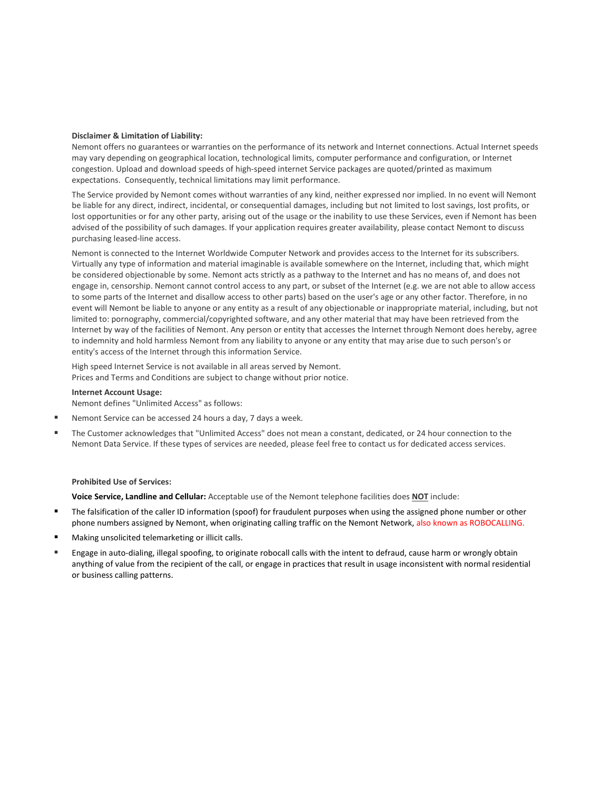### **Disclaimer & Limitation of Liability:**

Nemont offers no guarantees or warranties on the performance of its network and Internet connections. Actual Internet speeds may vary depending on geographical location, technological limits, computer performance and configuration, or Internet congestion. Upload and download speeds of high-speed internet Service packages are quoted/printed as maximum expectations. Consequently, technical limitations may limit performance.

The Service provided by Nemont comes without warranties of any kind, neither expressed nor implied. In no event will Nemont be liable for any direct, indirect, incidental, or consequential damages, including but not limited to lost savings, lost profits, or lost opportunities or for any other party, arising out of the usage or the inability to use these Services, even if Nemont has been advised of the possibility of such damages. If your application requires greater availability, please contact Nemont to discuss purchasing leased-line access.

Nemont is connected to the Internet Worldwide Computer Network and provides access to the Internet for its subscribers. Virtually any type of information and material imaginable is available somewhere on the Internet, including that, which might be considered objectionable by some. Nemont acts strictly as a pathway to the Internet and has no means of, and does not engage in, censorship. Nemont cannot control access to any part, or subset of the Internet (e.g. we are not able to allow access to some parts of the Internet and disallow access to other parts) based on the user's age or any other factor. Therefore, in no event will Nemont be liable to anyone or any entity as a result of any objectionable or inappropriate material, including, but not limited to: pornography, commercial/copyrighted software, and any other material that may have been retrieved from the Internet by way of the facilities of Nemont. Any person or entity that accesses the Internet through Nemont does hereby, agree to indemnity and hold harmless Nemont from any liability to anyone or any entity that may arise due to such person's or entity's access of the Internet through this information Service.

High speed Internet Service is not available in all areas served by Nemont. Prices and Terms and Conditions are subject to change without prior notice.

### **Internet Account Usage:**

Nemont defines "Unlimited Access" as follows:

- Nemont Service can be accessed 24 hours a day, 7 days a week.
- The Customer acknowledges that "Unlimited Access" does not mean a constant, dedicated, or 24 hour connection to the Nemont Data Service. If these types of services are needed, please feel free to contact us for dedicated access services.

#### **Prohibited Use of Services:**

**Voice Service, Landline and Cellular:** Acceptable use of the Nemont telephone facilities does **NOT** include:

- The falsification of the caller ID information (spoof) for fraudulent purposes when using the assigned phone number or other phone numbers assigned by Nemont, when originating calling traffic on the Nemont Network, also known as ROBOCALLING.
- Making unsolicited telemarketing or illicit calls.
- Engage in auto-dialing, illegal spoofing, to originate robocall calls with the intent to defraud, cause harm or wrongly obtain anything of value from the recipient of the call, or engage in practices that result in usage inconsistent with normal residential or business calling patterns.